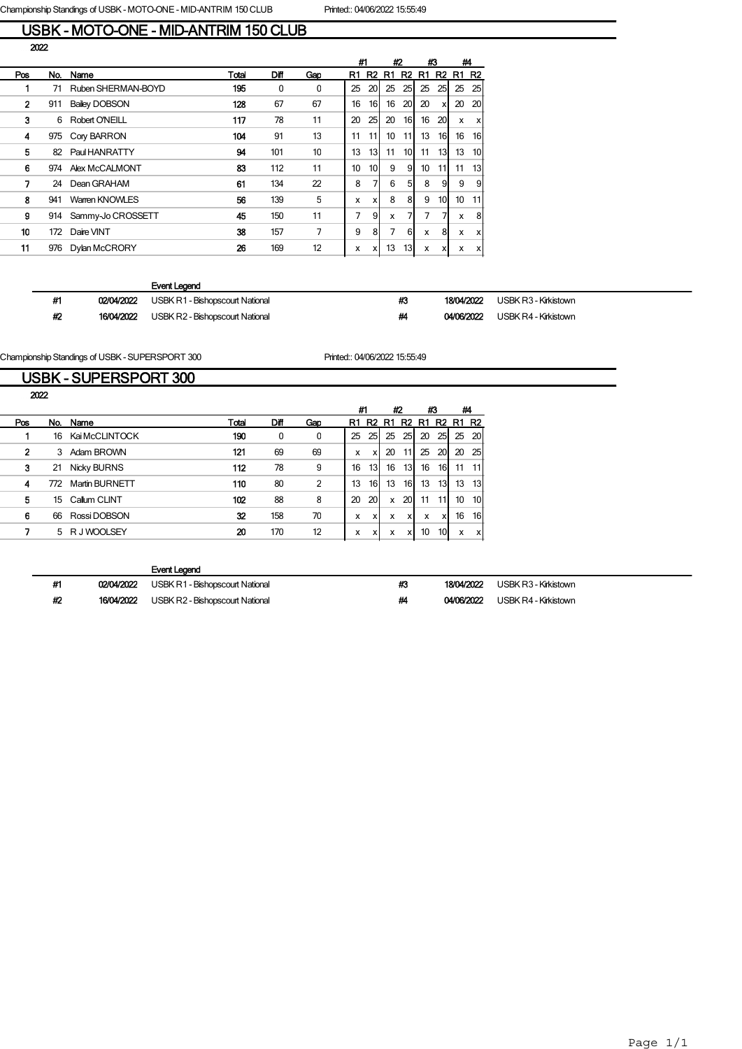Championship Standings of USBK - MOTO-ONE - MID-ANTRIM 150 CLUB Printed:: 04/06/2022 15:55:49

#### USBK - MOTO-ONE - MID-ANTRIM 150 CLUB 2022

|              |     |                      |       |      |     |    | #1              |    | #2              |    | #3                        |              | #4                        |
|--------------|-----|----------------------|-------|------|-----|----|-----------------|----|-----------------|----|---------------------------|--------------|---------------------------|
| Pos          | No. | Name                 | Total | Diff | Gap | R1 | R2              | R1 | R <sub>2</sub>  | R1 |                           | <b>R2 R1</b> | <b>R2</b>                 |
|              | 71  | Ruben SHERMAN-BOYD   | 195   | 0    | 0   | 25 | 20              | 25 | 25I             | 25 | 25                        | 25           | 25                        |
| $\mathbf{2}$ | 911 | <b>Bailey DOBSON</b> | 128   | 67   | 67  | 16 | 16              | 16 | 20 <sub>l</sub> | 20 | $\boldsymbol{\mathsf{x}}$ | 20           | 20                        |
| 3            | 6   | Robert O'NEILL       | 117   | 78   | 11  | 20 | 25              | 20 | 16              | 16 | 20                        | x            | $\boldsymbol{\mathsf{x}}$ |
| 4            | 975 | Cory BARRON          | 104   | 91   | 13  | 11 | 111             | 10 | 11I             | 13 | 16                        | 16           | 16                        |
| 5            | 82  | Paul HANRATTY        | 94    | 101  | 10  | 13 | 13              | 11 | 10I             | 11 | 13                        | 13           | 10                        |
| 6            | 974 | Alex McCALMONT       | 83    | 112  | 11  | 10 | 10 <sup>1</sup> | 9  | 91              | 10 | 11I                       | 11           | 13                        |
| 7            | 24  | Dean GRAHAM          | 61    | 134  | 22  | 8  | 7               | 6  | 51              | 8  | 9                         | 9            | 9                         |
| 8            | 941 | Warren KNOWLES       | 56    | 139  | 5   | x  | x               | 8  | 81              | 9  | 10 <sup>1</sup>           | 10           | 11                        |
| 9            | 914 | Sammy-Jo CROSSETT    | 45    | 150  | 11  | 7  | 9               | x  |                 | 7  |                           | X            | 8                         |
| 10           | 172 | Daire VINT           | 38    | 157  | 7   | 9  | 8               | 7  | 6 <sup>1</sup>  | x  | 8                         | x            | $\mathsf{x}$              |
| 11           | 976 | Dylan McCRORY        | 26    | 169  | 12  | x  | x               | 13 | 13 <sub>l</sub> | X  | х                         | x            | $\boldsymbol{\mathsf{x}}$ |
|              |     |                      |       |      |     |    |                 |    |                 |    |                           |              |                           |

#### Event Legend

| #1 | 02/04/2022 | USBK R1 - Bishopscourt National        | #3 | 18/04/2022 | USBK R3 - Kirkistown |
|----|------------|----------------------------------------|----|------------|----------------------|
| #2 | 16/04/2022 | <b>USBK R2 - Bishopscourt National</b> | #4 | 04/06/2022 | USBK R4 - Kirkistown |

Championship Standings of USBK - SUPERSPORT 300 Printed:: 04/06/2022 15:55:49

# USBK - SUPERSPORT 300

|     | 2022 |                       |       |      |                |    |                 |    |      |    |     |              |                |
|-----|------|-----------------------|-------|------|----------------|----|-----------------|----|------|----|-----|--------------|----------------|
|     |      |                       |       |      |                | #1 |                 |    | #2   | #3 |     | #4           |                |
| Pos | No.  | Name                  | Total | Diff | Gap            | R1 | R2              | R1 | R2   | R1 |     | <b>R2 R1</b> | R <sub>2</sub> |
|     | 16   | Kai McCLINTOCK        | 190   | 0    | 0              | 25 | 25              | 25 | 25   | 20 | 25  | 25           | <b>20</b>      |
| 2   | 3    | Adam BROWN            | 121   | 69   | 69             | x  | x               | 20 | 11   | 25 | 20  | 20           | 25             |
| 3   | 21   | <b>Nicky BURNS</b>    | 112   | 78   | 9              | 16 | 13 <sub>1</sub> | 16 | 13   | 16 | 16I | 11           |                |
| 4   | 772  | <b>Martin BURNETT</b> | 110   | 80   | $\overline{2}$ | 13 | 16              | 13 | 16 I | 13 | 13  | 13           | 13             |
| 5   | 15   | Callum CLINT          | 102   | 88   | 8              | 20 | 20              | x  | 20I  | 11 | 11  | 10           | 10             |
| 6   | 66   | Rossi DOBSON          | 32    | 158  | 70             | x  | x               | x  | xl   | х  | X   | 16           | 16             |
|     |      | 5 RJ WOOLSEY          | 20    | 170  | 12             | x  | x               | х  | x    | 10 | 10I | x            | x              |
|     |      |                       |       |      |                |    |                 |    |      |    |     |              |                |

|    |            | Event Legend                    |    |            |                      |
|----|------------|---------------------------------|----|------------|----------------------|
| #1 | 02/04/2022 | USBK R1 - Bishopscourt National | #3 | 18/04/2022 | USBK R3 - Kirkistown |
| #2 | 16/04/2022 | USBK R2 - Bishopscourt National | #4 | 04/06/2022 | USBK R4 - Kirkistown |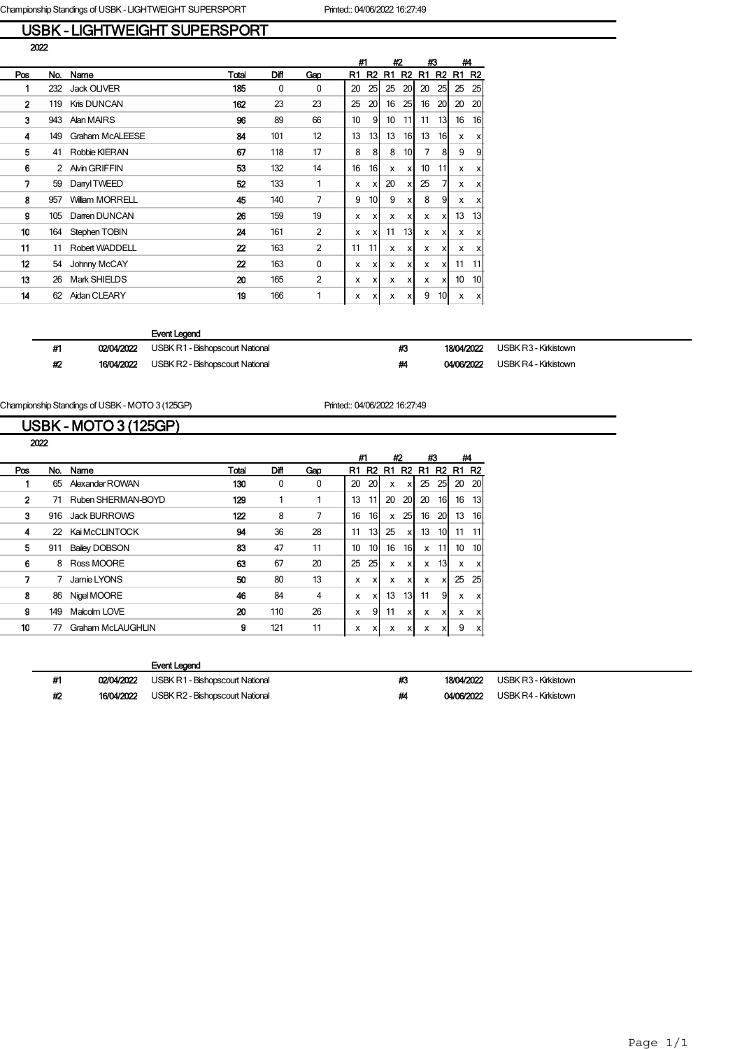# USBK - LIGHTWEIGHT SUPERSPORT

|              |         |                        |                  |      |                |    | #1              |    | #2              |                  | #3                        |                | #4             |
|--------------|---------|------------------------|------------------|------|----------------|----|-----------------|----|-----------------|------------------|---------------------------|----------------|----------------|
| Pos          | No.     | Name                   | Total            | Diff | Gap            | R1 | R <sub>2</sub>  | R1 | R <sub>2</sub>  | R1               | R <sub>2</sub>            | R <sub>1</sub> | R <sub>2</sub> |
| 1            | 232     | Jack OLIVER            | 185              | 0    | $\Omega$       | 20 | 25              | 25 | 20 <sub>l</sub> | 20               | 25                        | 25             | 25             |
| $\mathbf{2}$ | 119     | Kris DUNCAN            | 162              | 23   | 23             | 25 | 20              | 16 | 25              | 16               | 20                        | 20             | 20             |
| 3            | 943     | Alan MAIRS             | 96               | 89   | 66             | 10 | 9               | 10 | 11              | 11               | 13                        | 16             | 16             |
| 4            | 149     | <b>Graham McALEESE</b> | 84               | 101  | 12             | 13 | 13              | 13 | 16I             | 13               | 16                        | x              | X              |
| 5            | 41      | Robbie KIERAN          | 67               | 118  | 17             | 8  | 8               | 8  | 10 <sup>1</sup> | $\overline{7}$   | 8                         | 9              | 9              |
| 6            | 2       | Alvin GRIFFIN          | 53               | 132  | 14             | 16 | 16I             | x  | xl              | 10 <sup>10</sup> | 11                        | x              | X              |
|              | 7<br>59 | Danyl TWEED            | 52               | 133  | 1              | x  | x               | 20 | x               | 25               |                           | x              | x              |
| 8            | 957     | <b>William MORRELL</b> | 45               | 140  | 7              | 9  | 10 <sup>1</sup> | 9  | x               | 8                | 9                         | x              | x              |
| g            | 105     | Darren DUNCAN          | 26               | 159  | 19             | x  | x               | x  | x               | x                | X                         | 13             | 13             |
| 10           | 164     | Stephen TOBIN          | 24               | 161  | $\overline{2}$ | x  | X               | 11 | 13              | x                | x                         | x              | X              |
| 11           | 11      | Robert WADDELL         | $\boldsymbol{z}$ | 163  | 2              | 11 | 11              | x  | xl              | x                | x                         | x              | x              |
| 12           | 54      | Johnny McCAY           | 22               | 163  | $\mathbf 0$    | x  | x               | x  | xl              | x                | x                         | 11             | 11             |
| 13           | 26      | Mark SHIELDS           | 20               | 165  | $\overline{2}$ | x  | x               | x  | x               | x                | $\boldsymbol{\mathsf{x}}$ | 10             | 10             |
| 14           | 62      | Aidan CLEARY           | 19               | 166  | 1              | x  | X               | x  | xl              | 9                | 10                        | x              | X              |
|              |         |                        |                  |      |                |    |                 |    |                 |                  |                           |                |                |

#### Event Legend

| #1 | 02/04/2022 | USBK R1 - Bishopscourt National | #3 | 18/04/2022 | USBK R3 - Kirkistown |
|----|------------|---------------------------------|----|------------|----------------------|
| #2 | 16/04/2022 | USBK R2 - Bishopscourt National | #4 | 04/06/2022 | USBK R4 - Kirkistown |

Championship Standings of USBK - MOTO 3 (125GP) Printed:: 04/06/2022 16:27:49

#### USBK - MOTO 3 (125GP)

|     |                    |                      |       |      |     |    | #1<br>#2        |    |                | #3 |                | #4 |                |
|-----|--------------------|----------------------|-------|------|-----|----|-----------------|----|----------------|----|----------------|----|----------------|
| Pos | No.                | Name                 | Total | Diff | Gap | R1 | R <sub>2</sub>  | R1 | R <sub>2</sub> | R1 | R <sub>2</sub> | R1 | R <sub>2</sub> |
|     | 65                 | Alexander ROWAN      | 130   | 0    | 0   | 20 | 20              | x  | x              | 25 | 25             | 20 | <b>20</b>      |
|     | $\mathbf{2}$<br>71 | Ruben SHERMAN-BOYD   | 129   |      |     | 13 | 11              | 20 | 20             | 20 | 16             | 16 | 13 I           |
|     | 3<br>916           | <b>Jack BURROWS</b>  | 122   | 8    | 7   | 16 | 16I             | x  | 25             | 16 | 20             | 13 | 16I            |
|     | 4<br>22            | Kai McCLINTOCK       | 94    | 36   | 28  | 11 | 13 <sub>l</sub> | 25 | x              | 13 | 10             | 11 | 11             |
|     | 5<br>911           | <b>Bailey DOBSON</b> | 83    | 47   | 11  | 10 | 10              | 16 | 16I            | x  | 11             | 10 | 10I            |
|     | 6<br>8             | Ross MOORE           | 63    | 67   | 20  | 25 | 25              | x  | x              | x  | 13             | X  | xl             |
|     | 7                  | Jamie LYONS          | 50    | 80   | 13  |    | x<br><b>X</b>   | x  | x              | x  | x              | 25 | 25             |
|     | 8<br>86            | Nigel MOORE          | 46    | 84   | 4   |    | x<br>x          | 13 | 13I            | 11 | 9              | X  | xl             |
|     | g<br>149           | Malcolm LOVE         | 20    | 110  | 26  |    | 9<br>x          | 11 | x              | x  | х              | X  | xl             |
|     | 10<br>77           | Graham McLAUGHLIN    | 9     | 121  | 11  |    | x<br><b>X</b>   | x  | x              | x  | x              | 9  | xl             |
|     |                    |                      |       |      |     |    |                 |    |                |    |                |    |                |

| #1 | 02/04/2022 USBK R1 - Bishopscourt National | #3 | 18/04/2022 USBK R3 - Kirkistown |
|----|--------------------------------------------|----|---------------------------------|
| Ж, | 16/04/2022 USBK R2 - Bishopscourt National | #4 | 04/06/2022 USBK R4 - Kirkistown |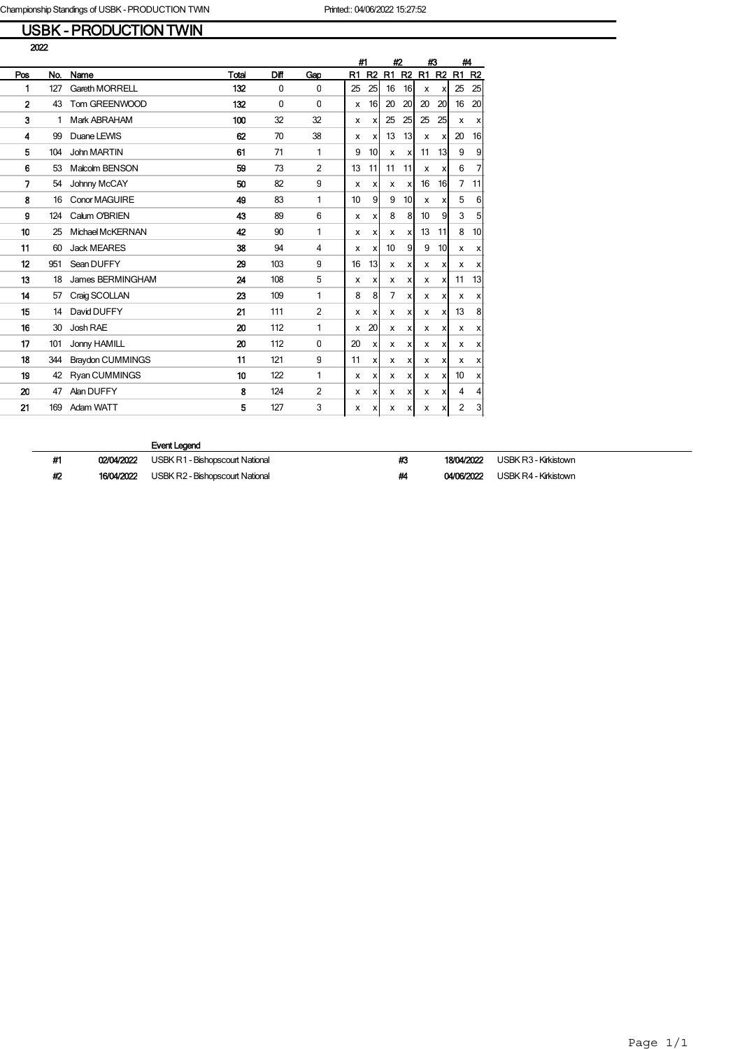### USBK - PRODUCTION TWIN

|                |     |                         |       |             |                |              | #1<br>#2       |    | #3               |    | #4    |                           |                           |
|----------------|-----|-------------------------|-------|-------------|----------------|--------------|----------------|----|------------------|----|-------|---------------------------|---------------------------|
| Pos            | No. | Name                    | Total | Diff        | Gap            | R1           | R <sub>2</sub> | R1 | R2               |    | R1 R2 | R <sub>1</sub>            | R <sub>2</sub>            |
| 1              | 127 | <b>Gareth MORRELL</b>   | 132   | $\mathbf 0$ | $\mathbf 0$    | 25           | 25             | 16 | 16               | x  | X     | 25                        | 25                        |
| $\overline{2}$ | 43  | Tom GREENWOOD           | 132   | $\Omega$    | $\Omega$       | X            | 16             | 20 | 20               | 20 | 20    | 16                        | 20                        |
| 3              | 1   | Mark ABRAHAM            | 100   | 32          | 32             | X            | X              | 25 | 25               | 25 | 25    | $\boldsymbol{\mathsf{x}}$ | X                         |
| 4              | 99  | Duane LEWIS             | 62    | 70          | 38             | $\mathsf{x}$ | X              | 13 | 13               | X  | x     | 20                        | 16                        |
| 5              | 104 | John MARTIN             | 61    | 71          | 1              | 9            | 10             | X  | x                | 11 | 13    | 9                         | 9                         |
| 6              | 53  | Malcolm BENSON          | 59    | 73          | $\overline{2}$ | 13           | 11             | 11 | 11               | X  | X     | 6                         | 7                         |
| 7              | 54  | Johnny McCAY            | 50    | 82          | 9              | x            | x              | х  | $\boldsymbol{x}$ | 16 | 16    | 7                         | 11                        |
| 8              | 16  | <b>Conor MAGUIRE</b>    | 49    | 83          | 1              | 10           | 9              | 9  | 10 <sup>1</sup>  | x  | X     | 5                         | 6                         |
| 9              | 124 | Calum O'BRIEN           | 43    | 89          | 6              | X            | x              | 8  | 8                | 10 | 9     | 3                         | 5                         |
| 10             | 25  | Michael McKERNAN        | 42    | 90          | 1              | х            | x              | x  | x                | 13 | 11    | 8                         | 10                        |
| 11             | 60  | <b>Jack MEARES</b>      | 38    | 94          | 4              | x            | x              | 10 | 9                | 9  | 10    | x                         | x                         |
| 12             | 951 | Sean DUFFY              | 29    | 103         | 9              | 16           | 13             | X  | x                | x  | X     | X                         | x                         |
| 13             | 18  | James BERMINGHAM        | 24    | 108         | 5              | $\mathsf{x}$ | X              | x  | x                | x  | x     | 11                        | 13                        |
| 14             | 57  | Craig SCOLLAN           | 23    | 109         | 1              | 8            | 8              | 7  | x                | x  | x     | x                         | x                         |
| 15             | 14  | David DUFFY             | 21    | 111         | $\overline{2}$ | x            | x              | x  | x                | x  | x     | 13                        | 8                         |
| 16             | 30  | Josh RAE                | 20    | 112         | 1              | x            | 20             | x  | x                | x  | x     | X                         | X                         |
| 17             | 101 | Jonny HAMILL            | 20    | 112         | $\mathbf 0$    | 20           | x              | x  | x                | x  | X     | X                         | x                         |
| 18             | 344 | <b>Braydon CUMMINGS</b> | 11    | 121         | 9              | 11           | X              | x  | X                | X  | X     | X                         | $\boldsymbol{\mathsf{x}}$ |
| 19             | 42  | <b>Ryan CUMMINGS</b>    | 10    | 122         | 1              | $\mathsf{x}$ | X              | x  | х                | x  | ×l    | 10                        | X                         |
| 20             | 47  | Alan DUFFY              | 8     | 124         | $\overline{2}$ | x            | X              | x  | x                | x  | x     | $\overline{4}$            | $\overline{4}$            |
| 21             | 169 | Adam WATT               | 5     | 127         | 3              | x            | x              | X  | x                | x  | x     | 2                         | 3                         |

| #1 | 02/04/2022 | USBK R1 - Bishopscourt National | #3 | 18/04/2022 | USBK R3 - Kirkistown |
|----|------------|---------------------------------|----|------------|----------------------|
| #2 | 16/04/2022 | USBK R2 - Bishopscourt National | Ш  | 04/06/2022 | USBK R4 - Kirkistown |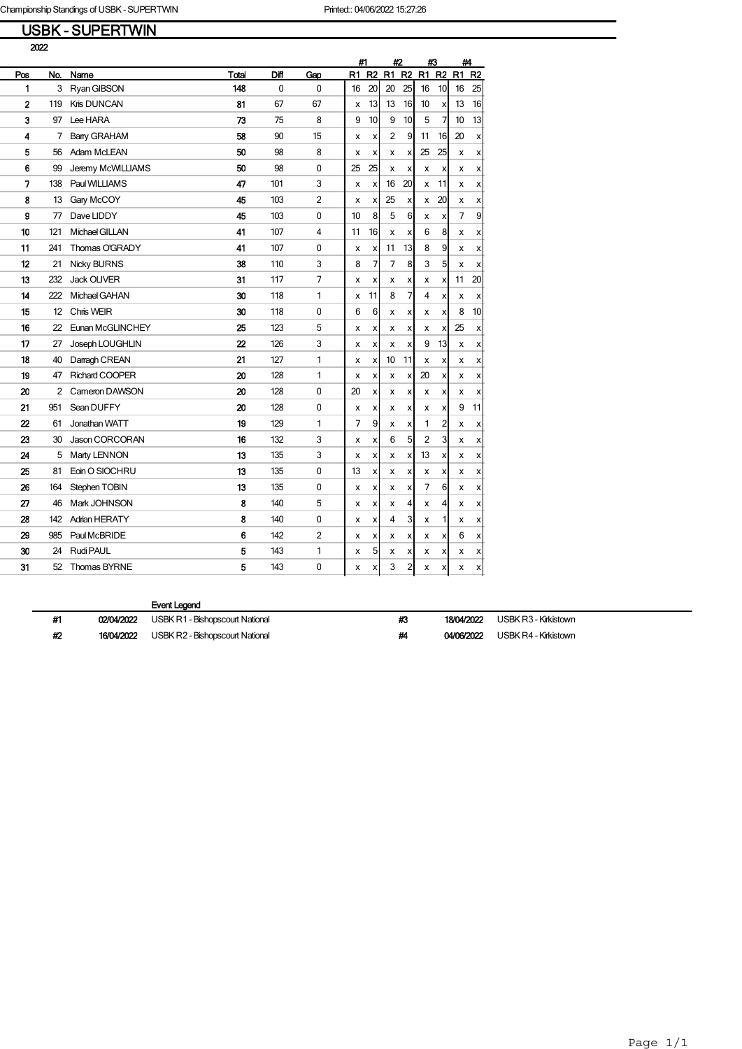## USBK - SUPERTWIN

|                |     |                       |       |      |                |    | #1             |                | #2 |    | #3             | #4 |                |
|----------------|-----|-----------------------|-------|------|----------------|----|----------------|----------------|----|----|----------------|----|----------------|
| Pos            | No. | Name                  | Total | Diff | Gap            | R1 | R <sub>2</sub> | R1             | R2 | R1 | R <sub>2</sub> | R1 | R <sub>2</sub> |
| 1              | 3   | Ryan GIBSON           | 148   | 0    | $\mathbf{0}$   | 16 | 20             | 20             | 25 | 16 | 10             | 16 | 25             |
| $\overline{2}$ | 119 | Kris DUNCAN           | 81    | 67   | 67             | x  | 13             | 13             | 16 | 10 | X              | 13 | 16             |
| 3              | 97  | Lee HARA              | 73    | 75   | 8              | 9  | 10             | 9              | 10 | 5  | 7              | 10 | 13             |
| 4              | 7   | <b>Barry GRAHAM</b>   | 58    | 90   | 15             | x  | X              | $\overline{2}$ | 9  | 11 | 16             | 20 | x              |
| 5              | 56  | Adam McLEAN           | 50    | 98   | 8              | x  | X              | x              | x  | 25 | 25             | x  | x              |
| 6              | 99  | Jeremy McWILLIAMS     | 50    | 98   | $\pmb{0}$      | 25 | 25             | x              | x  | x  | x              | x  | x              |
| 7              | 138 | Paul WILLIAMS         | 47    | 101  | 3              | X  | x              | 16             | 20 | X  | 11             | x  | x              |
| 8              | 13  | Gary McCOY            | 45    | 103  | $\overline{2}$ | X  | X              | 25             | X  | X  | 20             | x  | x              |
| 9              | 77  | Dave LIDDY            | 45    | 103  | 0              | 10 | 8              | 5              | 6  | х  | x              | 7  | 9              |
| 10             | 121 | Michael GILLAN        | 41    | 107  | 4              | 11 | 16             | x              | x  | 6  | 8              | x  | х              |
| 11             | 241 | Thomas O'GRADY        | 41    | 107  | 0              | x  | X              | 11             | 13 | 8  | 9              | x  | X              |
| 12             | 21  | <b>Nicky BURNS</b>    | 38    | 110  | 3              | 8  | 7              | 7              | 8  | 3  | 5              | x  | x              |
| 13             | 232 | <b>Jack OLIVER</b>    | 31    | 117  | 7              | x  | X              | x              | x  | x  | x              | 11 | 20             |
| 14             | 222 | Michael GAHAN         | 30    | 118  | 1              | x  | 11             | 8              | 7  | 4  | x              | x  | x              |
| 15             | 12  | Chris WEIR            | 30    | 118  | 0              | 6  | 6              | x              | X  | x  | x              | 8  | 10             |
| 16             | 22  | Eunan McGLINCHEY      | 25    | 123  | 5              | x  | X              | x              | x  | x  | X              | 25 | X              |
| 17             | 27  | Joseph LOUGHLIN       | 22    | 126  | 3              | X  | X              | x              | X  | 9  | 13             | x  | x              |
| 18             | 40  | Darragh CREAN         | 21    | 127  | 1              | x  | x              | 10             | 11 | x  | x              | x  | x              |
| 19             | 47  | <b>Richard COOPER</b> | 20    | 128  | 1              | x  | X              | x              | X  | 20 | x              | x  | x              |
| 20             | 2   | Cameron DAWSON        | 20    | 128  | 0              | 20 | X              | x              | X  | X  | х              | x  | х              |
| 21             | 951 | Sean DUFFY            | 20    | 128  | 0              | x  | X              | х              | x  | x  | x              | 9  | 11             |
| 22             | 61  | Jonathan WATT         | 19    | 129  | 1              | 7  | 9              | x              | x  | 1  | 2              | x  | x              |
| 23             | 30  | Jason CORCORAN        | 16    | 132  | 3              | x  | X              | 6              | 5  | 2  | 3              | x  | x              |
| 24             | 5   | Marty LENNON          | 13    | 135  | 3              | x  | x              | x              | x  | 13 | x              | x  | x              |
| 25             | 81  | Eoin O SIOCHRU        | 13    | 135  | $\pmb{0}$      | 13 | X              | x              | X  | x  | х              | x  | x              |
| 26             | 164 | Stephen TOBIN         | 13    | 135  | 0              | х  | x              | x              | х  | 7  | 6              | x  | x              |
| 27             | 46  | Mark JOHNSON          | 8     | 140  | 5              | x  | X              | x              | 4  | x  | 4              | x  | x              |
| 28             | 142 | <b>Adrian HERATY</b>  | 8     | 140  | 0              | x  | X              | 4              | 3  | X  | 1              | x  | x              |
| 29             | 985 | Paul McBRIDE          | 6     | 142  | 2              | x  | X              | x              | x  | x  | x              | 6  | x              |
| 30             | 24  | <b>Rudi PAUL</b>      | 5     | 143  | 1              | x  | 5              | х              | x  | x  | x              | х  | X              |
| 31             | 52  | Thomas BYRNE          | 5     | 143  | 0              | x  | X              | 3              | 2  | x  | x              | x  | х              |

| #1 | 02/04/2022 | USBK R1 - Bishopscourt National        | #3 | 18/04/2022 | USBK R3 - Kirkistown |
|----|------------|----------------------------------------|----|------------|----------------------|
| #2 | 16/04/2022 | <b>USBK R2 - Bishopscourt National</b> | #4 | 04/06/2022 | USBK R4 - Kirkistown |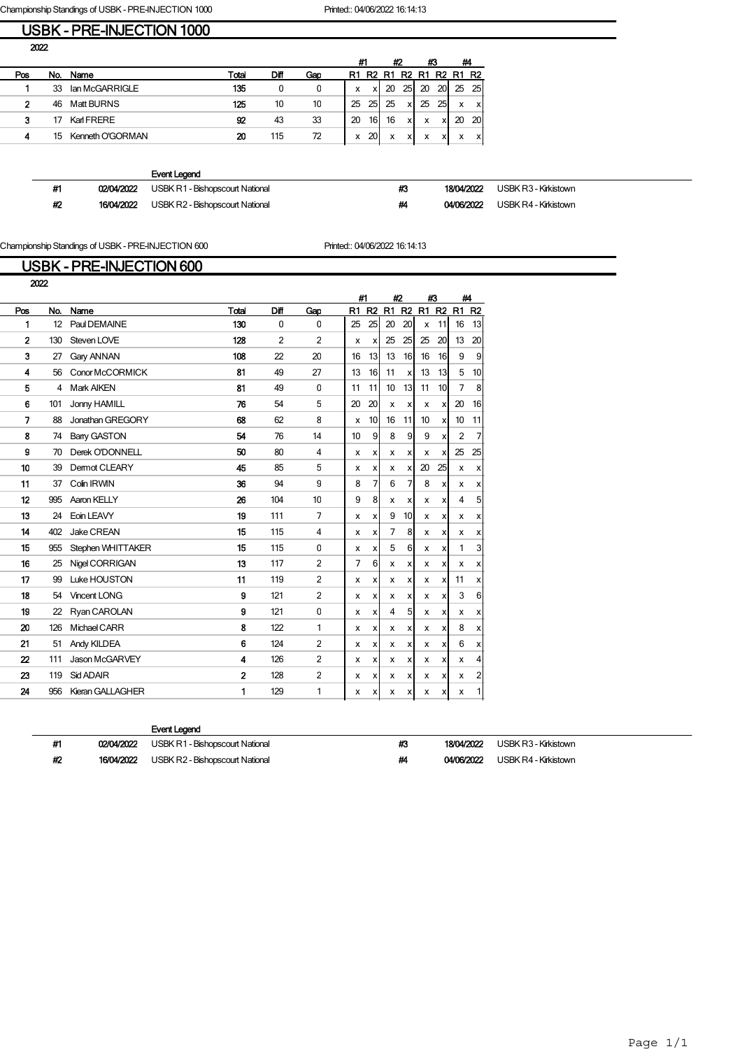Championship Standings of USBK - PRE-INJECTION 1000 Printed:: 04/06/2022 16:14:13

### USBK - PRE-INJECTION 1000

|     |     |                   |       |      |     |    | #1<br>#2       |    |                 | #3 | #4        |             |              |
|-----|-----|-------------------|-------|------|-----|----|----------------|----|-----------------|----|-----------|-------------|--------------|
| Pos | No. | Name              | Total | Diff | Gap | R1 | R <sub>2</sub> | R1 | R2              |    |           | R1 R2 R1 R2 |              |
|     | 33  | lan McGARRIGLE    | 135   | 0    | 0   | x  |                | 20 | 25 <sup>1</sup> | 20 | <b>20</b> |             | 25 25        |
| 2   | 46  | <b>Matt BURNS</b> | 125   | 10   | 10  | 25 | 25             | 25 | x               | 25 | 25        | x           | $\mathsf{x}$ |
| 3   | 17  | Karl FRERE        | 92    | 43   | 33  | 20 | 16             | 16 | $\checkmark$    | x  | xl        | 20          | - 20         |
|     | 15  | Kenneth O'GORMAN  | 20    | 115  | 72  | x  | 20             | x  | v               | x  | xl        | $\check{}$  | x            |
|     |     |                   |       |      |     |    |                |    |                 |    |           |             |              |

|    |            | Event Legend                           |    |            |                      |
|----|------------|----------------------------------------|----|------------|----------------------|
| #1 | 02/04/2022 | USBK R1 - Bishopscourt National        | #3 | 18/04/2022 | USBK R3 - Kirkistown |
| #2 | 16/04/2022 | <b>USBK R2 - Bishopscourt National</b> | #4 | 04/06/2022 | USBK R4 - Kirkistown |

Championship Standings of USBK - PRE-INJECTION 600 Printed:: 04/06/2022 16:14:13

# USBK - PRE-INJECTION 600

| 2022             |     |                    |                |                |                |    |                           |                |                               |    |                           |                |                |
|------------------|-----|--------------------|----------------|----------------|----------------|----|---------------------------|----------------|-------------------------------|----|---------------------------|----------------|----------------|
|                  |     |                    |                |                |                | #1 |                           | #2             |                               | #3 |                           | #4             |                |
| Pos              | No. | Name               | Total          | Diff           | Gap            | R1 | R <sub>2</sub>            | R1             | R <sub>2</sub> R <sub>1</sub> |    | R <sub>2</sub>            | R1             | R <sub>2</sub> |
| 1                | 12  | Paul DEMAINE       | 130            | $\Omega$       | $\mathbf{0}$   | 25 | 25                        | 20             | 20 <sup>1</sup>               | X  | 11                        | 16             | 13             |
| $\overline{2}$   | 130 | Steven LOVE        | 128            | $\overline{2}$ | 2              | x  | $\boldsymbol{\mathsf{x}}$ | 25             | 25                            | 25 | 20                        | 13             | 20             |
| 3                | 27  | Gary ANNAN         | 108            | 22             | 20             | 16 | 13                        | 13             | 16 <sup>1</sup>               | 16 | 16                        | 9              | 9              |
| 4                | 56  | Conor McCORMICK    | 81             | 49             | 27             | 13 | 16                        | 11             | xl                            | 13 | 13                        | 5              | 10             |
| 5                | 4   | <b>Mark AIKEN</b>  | 81             | 49             | $\mathbf{0}$   | 11 | 11                        | 10             | 13 <sup>1</sup>               | 11 | 10                        | $\overline{7}$ | 8              |
| 6                | 101 | Jonny HAMILL       | 76             | 54             | 5              | 20 | 20                        | х              | x                             | x  | x                         | 20             | 16             |
| 7                | 88  | Jonathan GREGORY   | 68             | 62             | 8              | x  | 10                        | 16             | 11                            | 10 | X                         | 10             | 11             |
| 8                | 74  | <b>Bany GASTON</b> | 54             | 76             | 14             | 10 | 9                         | 8              | 9                             | 9  | X                         | 2              | $\overline{7}$ |
| g                | 70  | Derek O'DONNELL    | 50             | 80             | $\overline{4}$ | x  | x                         | x              | $\mathsf{x}$                  | x  | X                         | 25             | 25             |
| 10               | 39  | Dermot CLEARY      | 45             | 85             | 5              | x  | x                         | x              | x                             | 20 | 25                        | X              | X              |
| 11               | 37  | Colin IRWIN        | 36             | 94             | 9              | 8  | 7                         | 6              | 7                             | 8  | X                         | х              | x              |
| 12               | 995 | Aaron KELLY        | 26             | 104            | 10             | 9  | 8                         | x              | x                             | x  | x                         | 4              | 5              |
| 13               | 24  | Eoin LEAVY         | 19             | 111            | $\overline{7}$ | x  | x                         | 9              | 10 <sup>1</sup>               | x  | x                         | x              | X              |
| 14               | 402 | Jake CREAN         | 15             | 115            | $\overline{4}$ | x  | x                         | $\overline{7}$ | 8                             | x  | X                         | x              | X              |
| 15               | 955 | Stephen WHITTAKER  | 15             | 115            | $\Omega$       | x  | x                         | 5              | 6                             | х  | x                         | 1              | 3              |
| 16               | 25  | Nigel CORRIGAN     | 13             | 117            | $\overline{2}$ | 7  | 6                         | x              | x                             | х  | X                         | х              | x              |
| 17               | 99  | Luke HOUSTON       | 11             | 119            | $\overline{2}$ | x  | х                         | x              | x                             | х  | x                         | 11             | x              |
| 18               | 54  | Vincent LONG       | 9              | 121            | $\overline{2}$ | x  | x                         | x              | x                             | x  | X                         | 3              | 6              |
| 19               | 22  | Ryan CAROLAN       | 9              | 121            | $\Omega$       | x  | x                         | $\overline{4}$ | 5                             | x  | $\boldsymbol{\mathsf{x}}$ | x              | x              |
| 20               | 126 | Michael CARR       | 8              | 122            | 1              | x  | x                         | x              | x                             | x  | X                         | 8              | x              |
| 21               | 51  | Andy KILDEA        | 6              | 124            | $\overline{2}$ | x  | х                         | х              | X                             | х  | X                         | 6              | x              |
| $\boldsymbol{p}$ | 111 | Jason McGARVEY     | 4              | 126            | 2              | x  | x                         | x              | x                             | х  | x                         | x              | $\overline{4}$ |
| 23               | 119 | Sid ADAIR          | $\overline{2}$ | 128            | $\overline{2}$ | x  | x                         | x              | x                             | х  | x                         | x              | $\overline{c}$ |
| 24               | 956 | Kieran GALLAGHER   | 1              | 129            | 1              | x  | x                         | x              | x                             | x  | x                         | x              | 1              |
|                  |     |                    |                |                |                |    |                           |                |                               |    |                           |                |                |

|    |            | Event Legend                    |    |            |                      |
|----|------------|---------------------------------|----|------------|----------------------|
| #1 | 02/04/2022 | USBK R1 - Bishopscourt National | #3 | 18/04/2022 | USBK R3 - Kirkistown |
| #2 | 16/04/2022 | USBK R2 - Bishopscourt National | ш  | 04/06/2022 | USBK R4 - Kirkistown |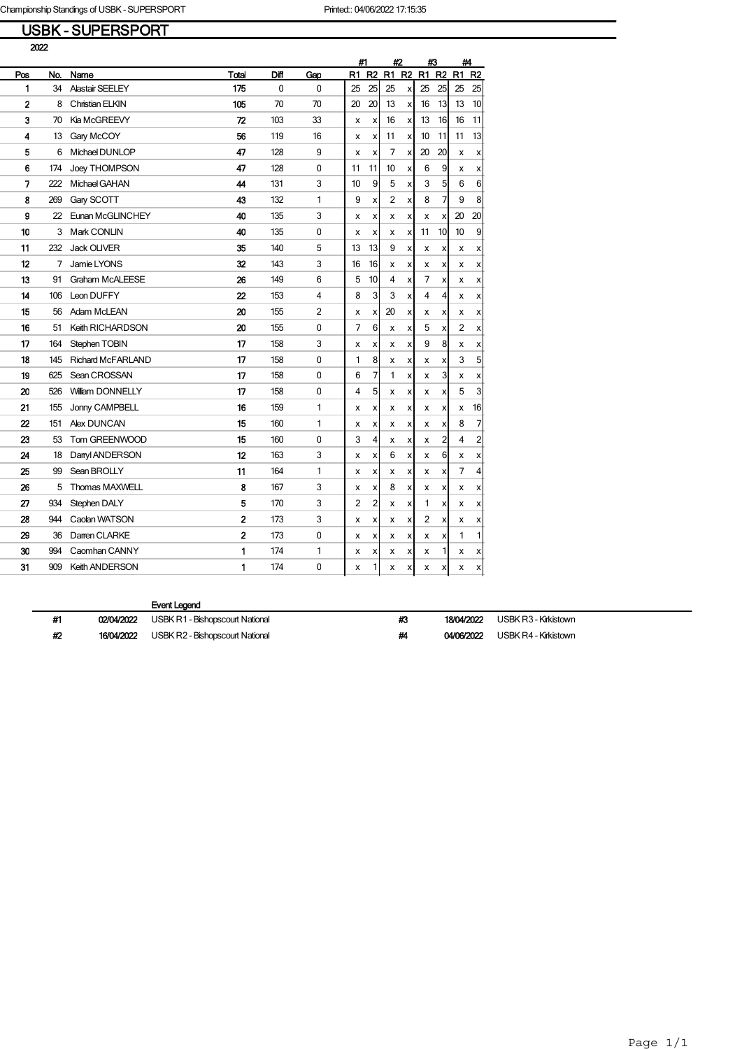## USBK - SUPERSPORT

|                |     |                          |                  |              |                | #1<br>#2<br>#3 |                |    |                | #4 |                |    |                |
|----------------|-----|--------------------------|------------------|--------------|----------------|----------------|----------------|----|----------------|----|----------------|----|----------------|
| Pos            | No. | Name                     | Total            | Diff         | Gap            | R1             | R <sub>2</sub> | R1 | R <sub>2</sub> | R1 | R <sub>2</sub> | R1 | R <sub>2</sub> |
| 1              | 34  | Alastair SEELEY          | 175              | $\mathbf{0}$ | $\mathbf{0}$   | 25             | 25             | 25 | X              | 25 | 25             | 25 | 25             |
| $\overline{2}$ | 8   | <b>Christian ELKIN</b>   | 105              | 70           | 70             | 20             | 20             | 13 | X              | 16 | 13             | 13 | 10             |
| 3              | 70  | <b>Kia McGREEVY</b>      | 72               | 103          | 33             | x              | X              | 16 | X              | 13 | 16             | 16 | 11             |
| 4              | 13  | Gary McCOY               | 56               | 119          | 16             | x              | X              | 11 | X              | 10 | 11             | 11 | 13             |
| 5              | 6   | Michael DUNLOP           | 47               | 128          | 9              | X              | X              | 7  | X              | 20 | 20             | x  | x              |
| 6              | 174 | Joey THOMPSON            | 47               | 128          | 0              | 11             | 11             | 10 | X              | 6  | 9              | x  | x              |
| 7              | 222 | Michael GAHAN            | 44               | 131          | 3              | 10             | 9              | 5  | X              | 3  | 5              | 6  | 6              |
| 8              | 269 | Gary SCOTT               | 43               | 132          | 1              | 9              | X              | 2  | X              | 8  | $\overline{7}$ | 9  | 8              |
| 9              | 22  | Eunan McGLINCHEY         | 40               | 135          | 3              | x              | X              | x  | x              | X  | x              | 20 | 20             |
| 10             | 3   | Mark CONLIN              | 40               | 135          | 0              | x              | X              | x  | x              | 11 | 10             | 10 | 9              |
| 11             | 232 | <b>Jack OLIVER</b>       | 35               | 140          | 5              | 13             | 13             | 9  | X              | x  | x              | x  | X              |
| 12             | 7   | Jamie LYONS              | 32               | 143          | 3              | 16             | 16             | x  | x              | x  | x              | x  | x              |
| 13             | 91  | Graham McALEESE          | 26               | 149          | 6              | 5              | 10             | 4  | x              | 7  | x              | x  | x              |
| 14             | 106 | Leon DUFFY               | $\boldsymbol{z}$ | 153          | 4              | 8              | 3              | 3  | X              | 4  | $\overline{4}$ | x  | x              |
| 15             | 56  | Adam McLEAN              | 20               | 155          | $\overline{2}$ | x              | X              | 20 | x              | x  | x              | x  | x              |
| 16             | 51  | <b>Keith RICHARDSON</b>  | 20               | 155          | $\Omega$       | 7              | 6              | x  | X              | 5  | X              | 2  | x              |
| 17             | 164 | Stephen TOBIN            | 17               | 158          | 3              | X              | x              | x  | x              | 9  | 8              | x  | x              |
| 18             | 145 | <b>Richard McFARLAND</b> | 17               | 158          | $\pmb{0}$      | 1              | 8              | x  | х              | х  | х              | 3  | 5              |
| 19             | 625 | Sean CROSSAN             | 17               | 158          | 0              | 6              | 7              | 1  | x              | х  | 3              | х  | x              |
| 20             | 526 | William DONNELLY         | 17               | 158          | 0              | 4              | 5              | x  | x              | X  | X              | 5  | 3              |
| 21             | 155 | Jonny CAMPBELL           | 16               | 159          | 1              | x              | X              | х  | x              | x  | x              | x  | 16             |
| 22             | 151 | <b>Alex DUNCAN</b>       | 15               | 160          | 1              | x              | X              | x  | x              | х  | x              | 8  | 7              |
| 23             | 53  | Tom GREENWOOD            | 15               | 160          | 0              | 3              | 4              | x  | x              | x  | 2              | 4  | $\overline{c}$ |
| 24             | 18  | Danyl ANDERSON           | 12               | 163          | 3              | x              | X              | 6  | X              | x  | 6              | x  | X              |
| 25             | 99  | Sean BROLLY              | 11               | 164          | 1              | x              | X              | x  | X              | x  | x              | 7  | 4              |
| 26             | 5   | <b>Thomas MAXWELL</b>    | 8                | 167          | 3              | X              | X              | 8  | x              | x  | x              | x  | x              |
| 27             | 934 | Stephen DALY             | 5                | 170          | 3              | 2              | $\overline{c}$ | x  | x              | 1  | X              | x  | x              |
| 28             | 944 | Caolan WATSON            | 2                | 173          | 3              | x              | X              | х  | x              | 2  | x              | x  | x              |
| 29             | 36  | Darren CLARKE            | $\overline{2}$   | 173          | 0              | х              | x              | x  | х              | х  | х              | 1  | 1              |
| 30             | 994 | Caomhan CANNY            | 1                | 174          | 1              | x              | Χ              | х  | x              | x  | 1              | х  | X              |
| 31             | 909 | <b>Keith ANDERSON</b>    | 1                | 174          | 0              | x              | 1              | x  | x              | x  | x              | x  | х              |

| #1 | 02/04/2022 | <b>USBK R1 - Bishopscourt National</b> | #3 | 18/04/2022 | USBK R3 - Kirkistown |
|----|------------|----------------------------------------|----|------------|----------------------|
| #2 | 16/04/2022 | USBK R2 - Bishopscourt National        | #4 | 04/06/2022 | USBK R4 - Kirkistown |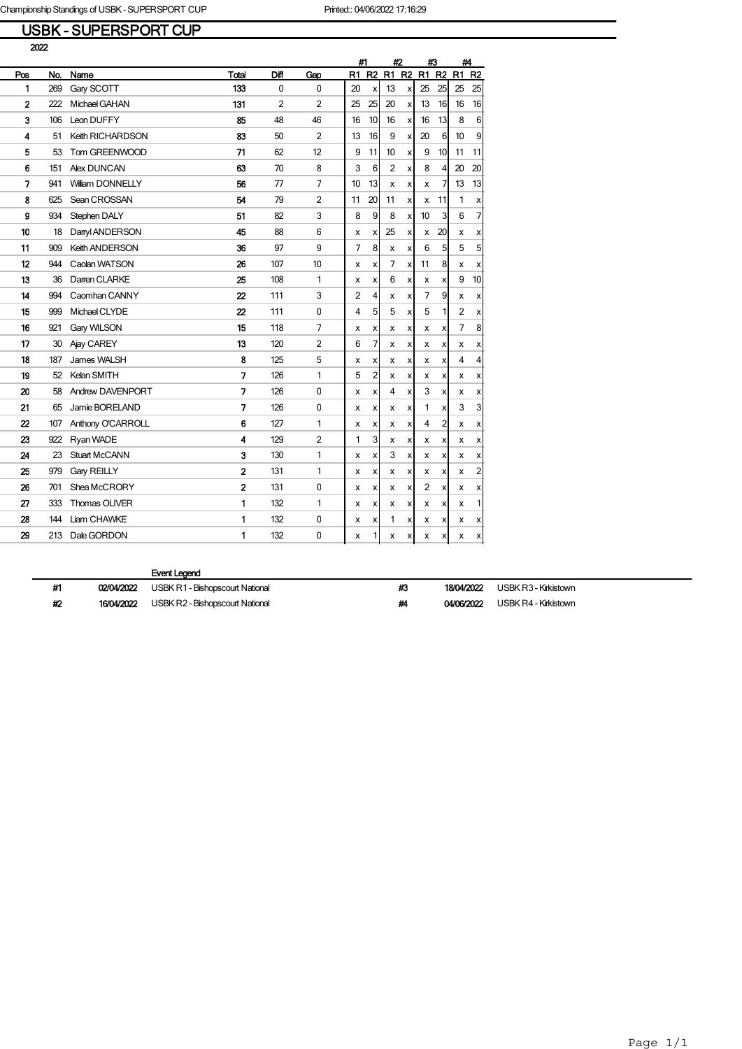## USBK - SUPERSPORT CUP

|                         |     |                         |                          |                |                |    | #1             |                | #2             |                |                    | #3             |                | #4 |  |
|-------------------------|-----|-------------------------|--------------------------|----------------|----------------|----|----------------|----------------|----------------|----------------|--------------------|----------------|----------------|----|--|
| Pos                     | No. | Name                    | Total                    | Diff           | Gap            | R1 | R <sub>2</sub> | R1             | R <sub>2</sub> | R1             | R <sub>2</sub>     | R1             | R <sub>2</sub> |    |  |
| 1                       | 269 | Gary SCOTT              | 133                      | $\mathbf 0$    | $\mathbf 0$    | 20 | x              | 13             | X              | 25             | 25                 | 25             | 25             |    |  |
| $\overline{\mathbf{2}}$ | 222 | Michael GAHAN           | 131                      | $\overline{2}$ | $\overline{2}$ | 25 | 25             | 20             | X              | 13             | 16                 | 16             | 16             |    |  |
| 3                       | 106 | Leon DUFFY              | 85                       | 48             | 46             | 16 | 10             | 16             | X              | 16             | 13                 | 8              | 6              |    |  |
| 4                       | 51  | Keith RICHARDSON        | 83                       | 50             | $\overline{2}$ | 13 | 16             | 9              | X              | 20             | 6                  | 10             | 9              |    |  |
| 5                       | 53  | Tom GREENWOOD           | 71                       | 62             | 12             | 9  | 11             | 10             | x              | 9              | 10                 | 11             | 11             |    |  |
| 6                       | 151 | <b>Alex DUNCAN</b>      | 63                       | 70             | 8              | 3  | 6              | $\overline{2}$ | x              | 8              | 4                  | 20             | 20             |    |  |
| 7                       | 941 | <b>William DONNELLY</b> | 56                       | 77             | $\overline{7}$ | 10 | 13             | x              | х              | x              | 7                  | 13             | 13             |    |  |
| 8                       | 625 | Sean CROSSAN            | 54                       | 79             | $\overline{2}$ | 11 | 20             | 11             | x              | x              | 11                 | 1              | x              |    |  |
| 9                       | 934 | Stephen DALY            | 51                       | 82             | 3              | 8  | 9              | 8              | x              | 10             | 3                  | 6              | 7              |    |  |
| 10                      | 18  | Danyl ANDERSON          | 45                       | 88             | 6              | x  | x              | 25             | X              | x              | 20                 | x              | x              |    |  |
| 11                      | 909 | Keith ANDERSON          | 36                       | 97             | 9              | 7  | 8              | x              | x              | 6              | 5                  | 5              | 5              |    |  |
| 12                      | 944 | Caolan WATSON           | 26                       | 107            | 10             | X  | X              | 7              | X              | 11             | 8                  | x              | x              |    |  |
| 13                      | 36  | Darren CLARKE           | 25                       | 108            | 1              | x  | X              | 6              | x              | x              | x                  | 9              | 10             |    |  |
| 14                      | 994 | Caomhan CANNY           | $\boldsymbol{p}$         | 111            | 3              | 2  | 4              | x              | X              | $\overline{7}$ | 9                  | x              | x              |    |  |
| 15                      | 999 | Michael CLYDE           | $\boldsymbol{z}$         | 111            | $\mathbf 0$    | 4  | 5              | 5              | x              | 5              | 1                  | $\overline{2}$ | x              |    |  |
| 16                      | 921 | Gary WILSON             | 15                       | 118            | 7              | x  | X              | x              | x              | x              | X                  | 7              | 8              |    |  |
| 17                      | 30  | Ajay CAREY              | 13                       | 120            | $\overline{2}$ | 6  | 7              | x              | X              | x              | х                  | x              | x              |    |  |
| 18                      | 187 | James WALSH             | 8                        | 125            | 5              | x  | X              | x              | x              | x              | X                  | $\overline{4}$ | 4              |    |  |
| 19                      | 52  | Kelan SMITH             | $\overline{\phantom{a}}$ | 126            | 1              | 5  | 2              | x              | x              | х              | x                  | x              | x              |    |  |
| 20                      | 58  | Andrew DAVENPORT        | $\overline{\phantom{a}}$ | 126            | $\Omega$       | x  | X              | 4              | x              | 3              | $\pmb{\mathsf{x}}$ | x              | x              |    |  |
| 21                      | 65  | Jamie BORELAND          | $\overline{\phantom{a}}$ | 126            | 0              | х  | X              | x              | x              | 1              | x                  | 3              | 3              |    |  |
| 22                      | 107 | Anthony O'CARROLL       | 6                        | 127            | 1              | x  | X              | x              | x              | 4              | 2                  | x              | x              |    |  |
| 23                      | 922 | Ryan WADE               | 4                        | 129            | $\overline{2}$ | 1  | 3              | х              | X              | x              | x                  | х              | x              |    |  |
| 24                      | 23  | Stuart McCANN           | 3                        | 130            | 1              | x  | X              | 3              | x              | x              | x                  | x              | x              |    |  |
| 25                      | 979 | <b>Gary REILLY</b>      | $\overline{2}$           | 131            | 1              | x  | X              | x              | x              | х              | x                  | x              | 2              |    |  |
| 26                      | 701 | Shea McCRORY            | $\overline{2}$           | 131            | $\mathbf 0$    | x  | X              | x              | x              | 2              | x                  | x              | x              |    |  |
| 27                      | 333 | Thomas OLIVER           | 1                        | 132            | 1              | x  | X              | х              | x              | х              | x                  | x              | 1              |    |  |
| 28                      | 144 | Liam CHAWKE             | 1                        | 132            | $\mathbf 0$    | X  | x              | 1              | x              | x              | x                  | x              | x              |    |  |
| 29                      | 213 | Dale GORDON             | 1                        | 132            | $\mathbf 0$    | x  | 1              | x              | x              | x              | x                  | x              | x              |    |  |

| иепт | œ |
|------|---|
|      |   |

| #1 | 02/04/2022 USBK R1 - Bishopscourt National        | #3 | 18/04/2022 | USBK R3 - Kirkistown |
|----|---------------------------------------------------|----|------------|----------------------|
| #2 | <b>16/04/2022</b> USBK R2 - Bishopscourt National | #4 | 04/06/2022 | USBK R4 - Kirkistown |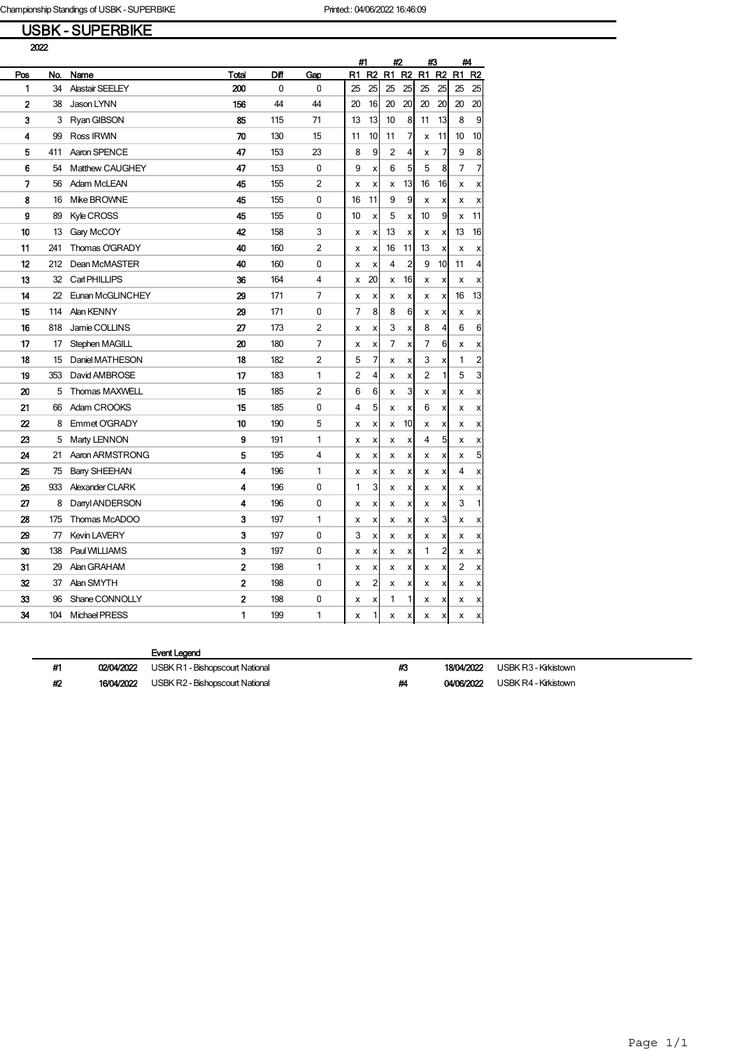## USBK - SUPERBIKE

|     |     |                        |                |      |                |    | #1             |    | #2<br>#3       |    |                |    | #4             |
|-----|-----|------------------------|----------------|------|----------------|----|----------------|----|----------------|----|----------------|----|----------------|
| Pos | No. | Name                   | Total          | Diff | Gap            | R1 | R <sub>2</sub> | R1 | R <sub>2</sub> | R1 | R <sub>2</sub> | R1 | R <sub>2</sub> |
| 1   | 34  | <b>Alastair SEELEY</b> | 200            | 0    | 0              | 25 | 25             | 25 | 25             | 25 | 25             | 25 | 25             |
| 2   | 38  | Jason LYNN             | 156            | 44   | 44             | 20 | 16             | 20 | 20             | 20 | 20             | 20 | 20             |
| 3   | 3   | Ryan GIBSON            | 85             | 115  | 71             | 13 | 13             | 10 | 8              | 11 | 13             | 8  | 9              |
| 4   | 99  | Ross IRWIN             | 70             | 130  | 15             | 11 | 10             | 11 | 7              | x  | 11             | 10 | 10             |
| 5   | 411 | Aaron SPENCE           | 47             | 153  | 23             | 8  | 9              | 2  | 4              | x  | 7              | 9  | 8              |
| 6   | 54  | Matthew CAUGHEY        | 47             | 153  | 0              | 9  | X              | 6  | 5              | 5  | 8              | 7  | 7              |
| 7   | 56  | Adam McLEAN            | 45             | 155  | 2              | X  | X              | x  | 13             | 16 | 16             | x  | X              |
| 8   | 16  | Mike BROWNE            | 45             | 155  | 0              | 16 | 11             | 9  | 9              | x  | x              | x  | X              |
| 9   | 89  | <b>Kyle CROSS</b>      | 45             | 155  | 0              | 10 | X              | 5  | X              | 10 | 9              | x  | 11             |
| 10  | 13  | Gary McCOY             | 42             | 158  | 3              | x  | X              | 13 | X              | х  | х              | 13 | 16             |
| 11  | 241 | Thomas O'GRADY         | 40             | 160  | $\overline{2}$ | x  | X              | 16 | 11             | 13 | X              | X  | X              |
| 12  | 212 | Dean McMASTER          | 40             | 160  | 0              | x  | X              | 4  | $\overline{c}$ | 9  | 10             | 11 | 4              |
| 13  | 32  | Carl PHILLIPS          | 36             | 164  | 4              | x  | 20             | x  | 16             | x  | х              | X  | x              |
| 14  | 22  | Eunan McGLINCHEY       | 29             | 171  | 7              | x  | X              | х  | X              | x  | x              | 16 | 13             |
| 15  | 114 | <b>Alan KENNY</b>      | 29             | 171  | 0              | 7  | 8              | 8  | 6              | х  | X              | x  | X              |
| 16  | 818 | Jamie COLLINS          | 27             | 173  | 2              | х  | X              | 3  | X              | 8  | 4              | 6  | 6              |
| 17  | 17  | Stephen MAGILL         | 20             | 180  | 7              | x  | X              | 7  | X              | 7  | 6              | x  | x              |
| 18  | 15  | Daniel MATHESON        | 18             | 182  | $\overline{2}$ | 5  | 7              | x  | X              | 3  | x              | 1  | $\overline{2}$ |
| 19  | 353 | David AMBROSE          | 17             | 183  | 1              | 2  | 4              | x  | x              | 2  | 1              | 5  | 3              |
| 20  | 5   | Thomas MAXWELL         | 15             | 185  | 2              | 6  | 6              | x  | 3              | x  | x              | x  | х              |
| 21  | 66  | Adam CROOKS            | 15             | 185  | 0              | 4  | 5              | x  | x              | 6  | x              | x  | х              |
| 22  | 8   | Emmet O'GRADY          | 10             | 190  | 5              | x  | X              | x  | 10             | х  | х              | x  | x              |
| 23  | 5   | Marty LENNON           | 9              | 191  | 1              | x  | X              | x  | x              | 4  | 5              | x  | X              |
| 24  | 21  | Aaron ARMSTRONG        | 5              | 195  | 4              | X  | X              | x  | X              | x  | x              | x  | 5              |
| 25  | 75  | <b>Barry SHEEHAN</b>   | 4              | 196  | 1              | х  | x              | x  | x              | х  | х              | 4  | х              |
| 26  | 933 | Alexander CLARK        | 4              | 196  | 0              | 1  | 3              | x  | X              | х  | x              | x  | x              |
| 27  | 8   | Danyl ANDERSON         | 4              | 196  | 0              | x  | X              | x  | X              | х  | x              | 3  | 1              |
| 28  | 175 | Thomas McADOO          | 3              | 197  | 1              | x  | X              | x  | X              | х  | 3              | x  | X              |
| 29  | 77  | <b>Kevin LAVERY</b>    | 3              | 197  | 0              | 3  | Χ              | х  | x              | х  | x              | x  | x              |
| 30  | 138 | Paul WILLIAMS          | 3              | 197  | 0              | x  | x              | x  | x              | 1  | 2              | x  | х              |
| 31  | 29  | Alan GRAHAM            | $\overline{2}$ | 198  | 1              | x  | X              | X  | X              | X  | X              | 2  | X              |
| 32  | 37  | Alan SMYTH             | 2              | 198  | 0              | x  | 2              | х  | x              | х  | X              | x  | х              |
| 33  | 96  | Shane CONNOLLY         | $\overline{2}$ | 198  | 0              | х  | X              | 1  | 1              | х  | х              | x  | x              |
| 34  | 104 | Michael PRESS          | 1              | 199  | 1              | x  | 1              | x  | x              | x  | x              | x  | x              |

| #1 | 02/04/2022 | USBK R1 - Bishopscourt National | #3 |            | <b>18/04/2022</b> USBK R3 - Kirkistown |
|----|------------|---------------------------------|----|------------|----------------------------------------|
| #2 | 16/04/2022 | USBK R2 - Bishopscourt National | #4 | 04/06/2022 | USBK R4 - Kirkistown                   |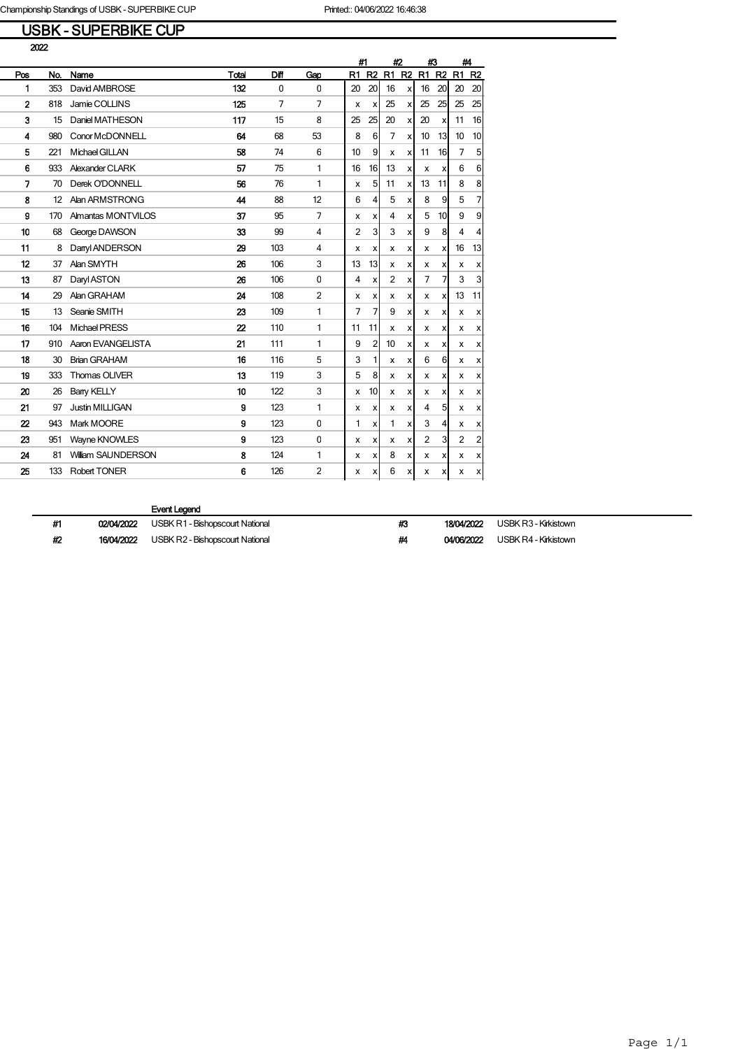### USBK - SUPERBIKE CUP

|                          |     |                        |                  |             |                | #1             |                           | #2             |                           | #3             |                           | #4             |                  |
|--------------------------|-----|------------------------|------------------|-------------|----------------|----------------|---------------------------|----------------|---------------------------|----------------|---------------------------|----------------|------------------|
| Pos                      | No. | Name                   | Total            | Diff        | Gap            | R1             | R <sub>2</sub>            | R1             | R <sub>2</sub>            |                | R1 R2                     | R1             | R <sub>2</sub>   |
| 1                        | 353 | David AMBROSE          | 132              | $\mathbf 0$ | $\mathbf{0}$   | 20             | 20                        | 16             | X                         | 16             | 20                        | 20             | 20               |
| $\overline{2}$           | 818 | Jamie COLLINS          | 125              | 7           | $\overline{7}$ | x              | х                         | 25             | x                         | 25             | 25                        | 25             | 25               |
| 3                        | 15  | Daniel MATHESON        | 117              | 15          | 8              | 25             | 25                        | 20             | $\boldsymbol{\mathsf{x}}$ | 20             | xl                        | 11             | 16               |
| 4                        | 980 | Conor McDONNELL        | 64               | 68          | 53             | 8              | 6                         | 7              | $\boldsymbol{\mathsf{x}}$ | 10             | 13                        | 10             | 10               |
| 5                        | 221 | Michael GILLAN         | 58               | 74          | 6              | 10             | 9                         | x              | x                         | 11             | 16                        | $\overline{7}$ | 5                |
| 6                        | 933 | Alexander CLARK        | 57               | 75          | 1              | 16             | 16                        | 13             | X                         | x              | $\boldsymbol{\mathsf{x}}$ | 6              | 6                |
| $\overline{\phantom{a}}$ | 70  | Derek O'DONNELL        | 56               | 76          | 1              | x              | 5                         | 11             | X                         | 13             | 11                        | 8              | 8                |
| 8                        | 12  | Alan ARMSTRONG         | 44               | 88          | 12             | 6              | 4                         | 5              | $\boldsymbol{\mathsf{x}}$ | 8              | 9                         | 5              | $\overline{7}$   |
| 9                        | 170 | Almantas MONTVILOS     | 37               | 95          | $\overline{7}$ | x              | x                         | 4              | $\boldsymbol{\mathsf{x}}$ | 5              | 10 <sup>1</sup>           | 9              | $\overline{9}$   |
| 10                       | 68  | George DAWSON          | 33               | 99          | 4              | $\overline{2}$ | 3                         | 3              | $\boldsymbol{\mathsf{x}}$ | 9              | 8                         | 4              | $\vert$          |
| 11                       | 8   | Danyl ANDERSON         | 29               | 103         | 4              | x              | x                         | х              | x                         | x              | x                         | 16             | 13               |
| 12                       | 37  | Alan SMYTH             | 26               | 106         | 3              | 13             | 13                        | x              | X                         | x              | x                         | X              | $\boldsymbol{x}$ |
| 13                       | 87  | Daryl ASTON            | 26               | 106         | 0              | 4              | x                         | $\overline{2}$ | $\boldsymbol{\mathsf{x}}$ | $\overline{7}$ | 7                         | 3              | $\overline{3}$   |
| 14                       | 29  | Alan GRAHAM            | 24               | 108         | $\overline{2}$ | x              | x                         | х              | x                         | x              | x                         | 13             | 11               |
| 15                       | 13  | Seanie SMITH           | 23               | 109         | 1              | $\overline{7}$ | 7                         | 9              | X                         | x              | X                         | X              | x                |
| 16                       | 104 | Michael PRESS          | $\boldsymbol{z}$ | 110         | 1              | 11             | 11                        | х              | X                         | x              | x                         | х              | x                |
| 17                       | 910 | Aaron EVANGELISTA      | 21               | 111         | 1              | 9              | 2                         | 10             | $\pmb{\times}$            | х              | X                         | х              | x                |
| 18                       | 30  | <b>Brian GRAHAM</b>    | 16               | 116         | 5              | 3              | 1                         | x              | x                         | 6              | 61                        | X              | x                |
| 19                       | 333 | Thomas OLIVER          | 13               | 119         | 3              | 5              | 8                         | x              | x                         | x              | x                         | X              | x                |
| 20                       | 26  | <b>Bany KELLY</b>      | 10               | 122         | 3              | х              | 10                        | х              | x                         | х              | X                         | х              | x                |
| 21                       | 97  | <b>Justin MILLIGAN</b> | 9                | 123         | 1              | х              | x                         | х              | x                         | 4              | 5 <sup>1</sup>            | x              | x                |
| 22                       | 943 | Mark MOORE             | 9                | 123         | 0              | 1              | x                         | 1              | X                         | 3              | $\vert$                   | x              | x                |
| 23                       | 951 | Wayne KNOWLES          | 9                | 123         | $\pmb{0}$      | х              | x                         | х              | x                         | $\overline{2}$ | 3                         | 2              | $\overline{2}$   |
| 24                       | 81  | William SAUNDERSON     | 8                | 124         | 1              | х              | x                         | 8              | x                         | х              | X                         | х              | x                |
| 25                       | 133 | <b>Robert TONER</b>    | 6                | 126         | $\overline{2}$ | x              | $\boldsymbol{\mathsf{x}}$ | 6              | x                         | x              | x                         | x              | x                |

#### Event Legend

#1 02/04/2022 USBK R1 - Bishopscourt National #3 18/04/2022 USBK R3 - Kirkistown

#2 16/04/2022 USBK R2 - Bishopscourt National #4 04/06/2022 USBK R4 - Kirkistown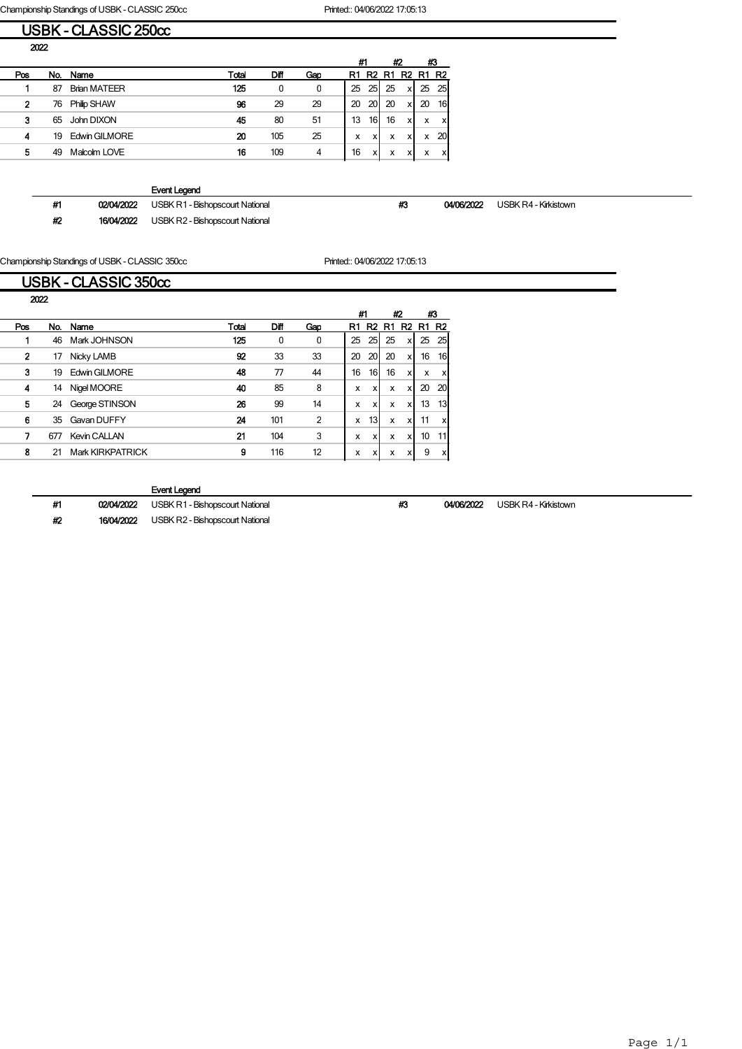Championship Standings of USBK - CLASSIC 250cc Printed:: 04/06/2022 17:05:13

| USBK - CLASSIC 250cc |  |
|----------------------|--|
|                      |  |
|                      |  |

|     |     |                     |       |      |     | #1 |                | #2 |                | #3           |           |
|-----|-----|---------------------|-------|------|-----|----|----------------|----|----------------|--------------|-----------|
| Pos | No. | Name                | Total | Diff | Gap | R1 | R <sub>2</sub> | R1 | R <sub>2</sub> | <b>R1 R2</b> |           |
|     | 87  | <b>Brian MATEER</b> | 125   | 0    | 0   | 25 | 25             | 25 | x              | 25           | 25I       |
| 2   | 76  | <b>Philip SHAW</b>  | 96    | 29   | 29  | 20 | 20             | 20 | хI             | 20           | 16        |
| 3   | 65  | John DIXON          | 45    | 80   | 51  | 13 | 16I            | 16 | xl             | x            | x         |
| 4   | 19  | Edwin GILMORE       | 20    | 105  | 25  | x  | x              | x  | X              | x            | <b>20</b> |
| 5   | 49  | Malcolm LOVE        | 16    | 109  | 4   | 16 | x              | x  | v<br>$\lambda$ | x            | x         |

Event Legend

#1 02/04/2022 USBK R1 - Bishopscourt National #3 04/06/2022 USBK R4 - Kirkistown

#2 16/04/2022 USBK R2 - Bishopscourt National

Championship Standings of USBK - CLASSIC 350cc Printed:: 04/06/2022 17:05:13

ׇ֚֬

|      |     | USBK - CLASSIC 350cc |       |              |                |    |          |    |                |    |                 |
|------|-----|----------------------|-------|--------------|----------------|----|----------|----|----------------|----|-----------------|
| 2022 |     |                      |       |              |                |    |          |    |                |    |                 |
|      |     |                      |       |              |                |    | #1       | #2 |                | #3 |                 |
| Pos  | No. | Name                 | Total | Diff         | Gap            | R1 | R2<br>R1 |    | R <sub>2</sub> | R1 | R <sub>2</sub>  |
|      | 46  | Mark JOHNSON         | 125   | $\mathbf{0}$ | 0              | 25 | 25       | 25 | x              | 25 | 25              |
| 2    | 17  | Nicky LAMB           | 92    | 33           | 33             | 20 | 20       | 20 | x              | 16 | 16 <sup>1</sup> |
| 3    | 19  | Edwin GILMORE        | 48    | 77           | 44             | 16 | 16       | 16 | x              | x  | x               |
| 4    | 14  | Nigel MOORE          | 40    | 85           | 8              | x  | x        | x  | x              | 20 | 20              |
| 5    | 24  | George STINSON       | 26    | 99           | 14             | X  | x        | x  | x              | 13 | 13 <sup>1</sup> |
| 6    | 35  | Gavan DUFFY          | 24    | 101          | $\overline{2}$ | x  | 13       | x  | x              | 11 | x               |
| 7    | 677 | <b>Kevin CALLAN</b>  | 21    | 104          | 3              | X  | x        | x  | x              | 10 | 11              |
| 8    | 21  | Mark KIRKPATRICK     | 9     | 116          | 12             | x  | x        | x  | x              | 9  | x               |

#### Event Legend

#1 02/04/2022 USBK R1 - Bishopscourt National #3 04/06/2022 USBK R4 - Kirkistown #2 16/04/2022 USBK R2 - Bishopscourt National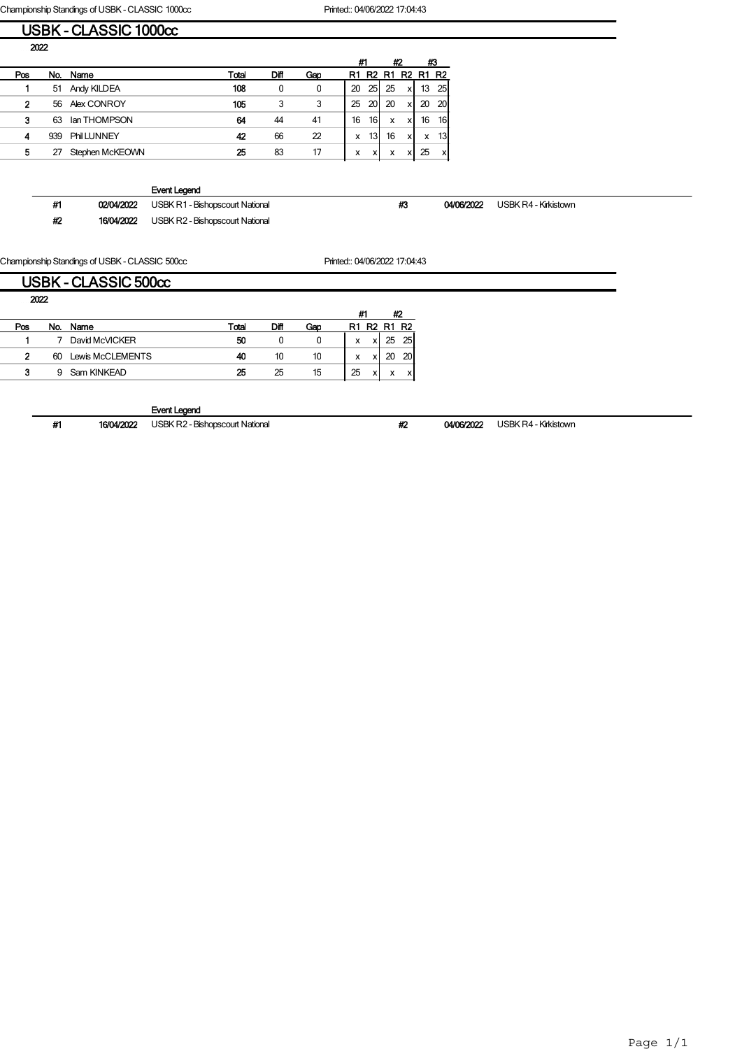Championship Standings of USBK - CLASSIC 1000cc Printed:: 04/06/2022 17:04:43 USBK - CLASSIC 1000cc

| 2022         |     |                   |       |      |     |    |                 |              |    |          |                           |
|--------------|-----|-------------------|-------|------|-----|----|-----------------|--------------|----|----------|---------------------------|
|              |     |                   |       |      |     | #1 |                 |              | #2 | #3       |                           |
| Pos          | No. | Name              | Total | Diff | Gap | R1 |                 | <b>R2 R1</b> |    | R2 R1 R2 |                           |
|              | 51  | Andy KILDEA       | 108   | 0    | 0   | 20 | 25              | 25           | xI | 13       | - 25                      |
| $\mathbf{2}$ | 56  | Alex CONROY       | 105   | 3    | 3   | 25 | 20 <sub>1</sub> | 20           | xl | 20       | - 20                      |
| 3            | 63  | lan THOMPSON      | 64    | 44   | 41  | 16 | 16              | x            | xl | 16       | 16                        |
| 4            | 939 | <b>PhilLUNNEY</b> | 42    | 66   | 22  | x  | 13              | 16           | xl | <b>X</b> | - 13                      |
| 5            | 27  | Stephen McKEOWN   | 25    | 83   | 17  | x  | <b>X</b>        | x            | x  | 25       | $\boldsymbol{\mathsf{x}}$ |

Event Legend

#1 02/04/2022 USBK R1 - Bishopscourt National #3 04/06/2022 USBK R4 - Kirkistown

#2 16/04/2022 USBK R2 - Bishopscourt National

Championship Standings of USBK - CLASSIC 500cc Printed:: 04/06/2022 17:04:43

### USBK - CLASSIC 500cc

| 2022           |     |                  |       |      |     |    |    |                               |    |
|----------------|-----|------------------|-------|------|-----|----|----|-------------------------------|----|
|                |     |                  |       |      |     | #1 |    | #2                            |    |
| Pos            | No. | Name             | Total | Diff | Gao | R1 | R2 | R <sub>1</sub> R <sub>2</sub> |    |
|                |     | David McVICKER   | 50    | 0    |     | x  |    | 25                            | 25 |
| $\overline{2}$ | 60  | Lewis McCLEMENTS | 40    | 10   | 10  | x  |    |                               | 20 |
| 3              | 9   | Sam KINKEAD      | 25    | 25   | 15  | 25 |    | x                             |    |

Event Legend

#1 16/04/2022 USBK R2 - Bishopscourt National #2 04/06/2022 USBK R4 - Kirkistown